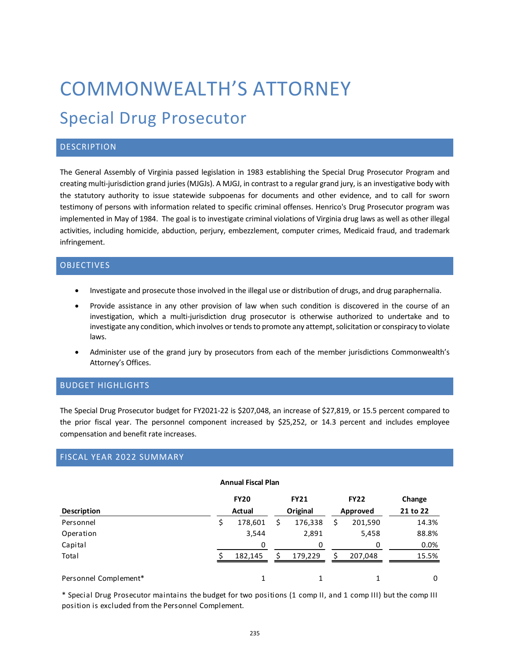# COMMONWEALTH'S ATTORNEY Special Drug Prosecutor

## **DESCRIPTION**

The General Assembly of Virginia passed legislation in 1983 establishing the Special Drug Prosecutor Program and creating multi-jurisdiction grand juries (MJGJs). A MJGJ, in contrast to a regular grand jury, is an investigative body with the statutory authority to issue statewide subpoenas for documents and other evidence, and to call for sworn testimony of persons with information related to specific criminal offenses. Henrico's Drug Prosecutor program was implemented in May of 1984. The goal is to investigate criminal violations of Virginia drug laws as well as other illegal activities, including homicide, abduction, perjury, embezzlement, computer crimes, Medicaid fraud, and trademark infringement.

#### **OBJECTIVES**

- Investigate and prosecute those involved in the illegal use or distribution of drugs, and drug paraphernalia.
- Provide assistance in any other provision of law when such condition is discovered in the course of an investigation, which a multi-jurisdiction drug prosecutor is otherwise authorized to undertake and to investigate any condition, which involves or tends to promote any attempt, solicitation or conspiracy to violate laws.
- Administer use of the grand jury by prosecutors from each of the member jurisdictions Commonwealth's Attorney's Offices.

#### BUDGET HIGHLIGHTS

The Special Drug Prosecutor budget for FY2021-22 is \$207,048, an increase of \$27,819, or 15.5 percent compared to the prior fiscal year. The personnel component increased by \$25,252, or 14.3 percent and includes employee compensation and benefit rate increases.

#### FISCAL YEAR 2022 SUMMARY

| <b>Annual Fiscal Plan</b> |
|---------------------------|
|---------------------------|

|                       | <b>FY20</b> | <b>FY21</b> | <b>FY22</b>   | Change   |
|-----------------------|-------------|-------------|---------------|----------|
| <b>Description</b>    | Actual      | Original    | Approved      | 21 to 22 |
| Personnel             | 178,601     | 176,338     | \$<br>201,590 | 14.3%    |
| Operation             | 3,544       | 2,891       | 5,458         | 88.8%    |
| Capital               | 0           | 0           | Ω             | 0.0%     |
| Total                 | 182,145     | 179,229     | 207,048       | 15.5%    |
| Personnel Complement* |             |             |               | 0        |

\* Special Drug Prosecutor maintains the budget for two positions (1 comp II, and 1 comp III) but the comp III position is excluded from the Personnel Complement.